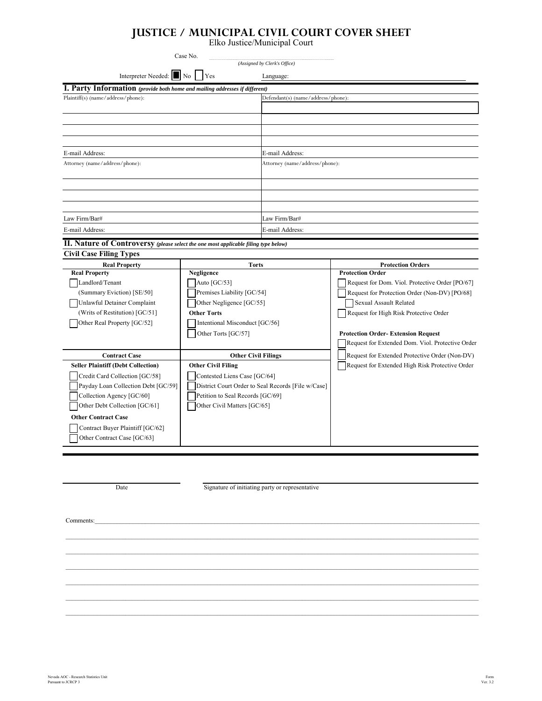## **JUSTICE / MUNICIPAL CIVIL COURT COVER SHEET**

Elko Justice/Municipal Court

| Case No.<br>(Assigned by Clerk's Office)                                            |                                                        |                                    |                                                                         |  |
|-------------------------------------------------------------------------------------|--------------------------------------------------------|------------------------------------|-------------------------------------------------------------------------|--|
| Interpreter Needed: No                                                              | Yes                                                    | Language:                          |                                                                         |  |
| I. Party Information (provide both home and mailing addresses if different)         |                                                        |                                    |                                                                         |  |
| Plaintiff(s) (name/address/phone):                                                  |                                                        | Defendant(s) (name/address/phone): |                                                                         |  |
|                                                                                     |                                                        |                                    |                                                                         |  |
|                                                                                     |                                                        |                                    |                                                                         |  |
|                                                                                     |                                                        |                                    |                                                                         |  |
|                                                                                     |                                                        |                                    |                                                                         |  |
| E-mail Address:                                                                     |                                                        | E-mail Address:                    |                                                                         |  |
| Attorney (name/address/phone):                                                      |                                                        |                                    | Attorney (name/address/phone):                                          |  |
|                                                                                     |                                                        |                                    |                                                                         |  |
|                                                                                     |                                                        |                                    |                                                                         |  |
|                                                                                     |                                                        |                                    |                                                                         |  |
|                                                                                     |                                                        |                                    |                                                                         |  |
| Law Firm/Bar#                                                                       |                                                        | Law Firm/Bar#                      |                                                                         |  |
| E-mail Address:                                                                     |                                                        | E-mail Address:                    |                                                                         |  |
| II. Nature of Controversy (please select the one most applicable filing type below) |                                                        |                                    |                                                                         |  |
| <b>Civil Case Filing Types</b>                                                      |                                                        |                                    |                                                                         |  |
| <b>Real Property</b>                                                                | <b>Torts</b>                                           |                                    | <b>Protection Orders</b>                                                |  |
| <b>Real Property</b>                                                                | Negligence                                             |                                    | <b>Protection Order</b>                                                 |  |
| Landlord/Tenant                                                                     | Auto [GC/53]                                           |                                    | Request for Dom. Viol. Protective Order [PO/67]                         |  |
| (Summary Eviction) [SE/50]<br>Unlawful Detainer Complaint                           | Premises Liability [GC/54]<br>Other Negligence [GC/55] |                                    | Request for Protection Order (Non-DV) [PO/68]<br>Sexual Assault Related |  |
| (Writs of Restitution) [GC/51]                                                      | <b>Other Torts</b>                                     |                                    | Request for High Risk Protective Order                                  |  |
| Other Real Property [GC/52]                                                         | Intentional Misconduct [GC/56]                         |                                    |                                                                         |  |
|                                                                                     | Other Torts [GC/57]                                    |                                    | <b>Protection Order-Extension Request</b>                               |  |
|                                                                                     |                                                        |                                    | Request for Extended Dom. Viol. Protective Order                        |  |
| <b>Contract Case</b>                                                                | <b>Other Civil Filings</b>                             |                                    | Request for Extended Protective Order (Non-DV)                          |  |
| <b>Seller Plaintiff (Debt Collection)</b>                                           | <b>Other Civil Filing</b>                              |                                    | Request for Extended High Risk Protective Order                         |  |
| Credit Card Collection [GC/58]                                                      | Contested Liens Case [GC/64]                           |                                    |                                                                         |  |
| Payday Loan Collection Debt [GC/59]                                                 | District Court Order to Seal Records [File w/Case]     |                                    |                                                                         |  |
| Collection Agency [GC/60]                                                           | Petition to Seal Records [GC/69]                       |                                    |                                                                         |  |
| Other Debt Collection [GC/61]                                                       | Other Civil Matters [GC/65]                            |                                    |                                                                         |  |
| <b>Other Contract Case</b>                                                          |                                                        |                                    |                                                                         |  |
| Contract Buyer Plaintiff [GC/62]                                                    |                                                        |                                    |                                                                         |  |
| Other Contract Case [GC/63]                                                         |                                                        |                                    |                                                                         |  |

Date Signature of initiating party or representative

 $\_$  , and the state of the state of the state of the state of the state of the state of the state of the state of the state of the state of the state of the state of the state of the state of the state of the state of the  $\_$  , and the state of the state of the state of the state of the state of the state of the state of the state of the state of the state of the state of the state of the state of the state of the state of the state of the  $\_$  , and the state of the state of the state of the state of the state of the state of the state of the state of the state of the state of the state of the state of the state of the state of the state of the state of the  $\_$  , and the state of the state of the state of the state of the state of the state of the state of the state of the state of the state of the state of the state of the state of the state of the state of the state of the  $\_$  , and the state of the state of the state of the state of the state of the state of the state of the state of the state of the state of the state of the state of the state of the state of the state of the state of the  $\_$  , and the state of the state of the state of the state of the state of the state of the state of the state of the state of the state of the state of the state of the state of the state of the state of the state of the

Comments:\_\_\_\_\_\_\_\_\_\_\_\_\_\_\_\_\_\_\_\_\_\_\_\_\_\_\_\_\_\_\_\_\_\_\_\_\_\_\_\_\_\_\_\_\_\_\_\_\_\_\_\_\_\_\_\_\_\_\_\_\_\_\_\_\_\_\_\_\_\_\_\_\_\_\_\_\_\_\_\_\_\_\_\_\_\_\_\_\_\_\_\_\_\_\_\_\_\_\_\_\_\_\_\_\_\_\_\_\_\_\_\_\_\_\_\_\_\_\_\_\_\_